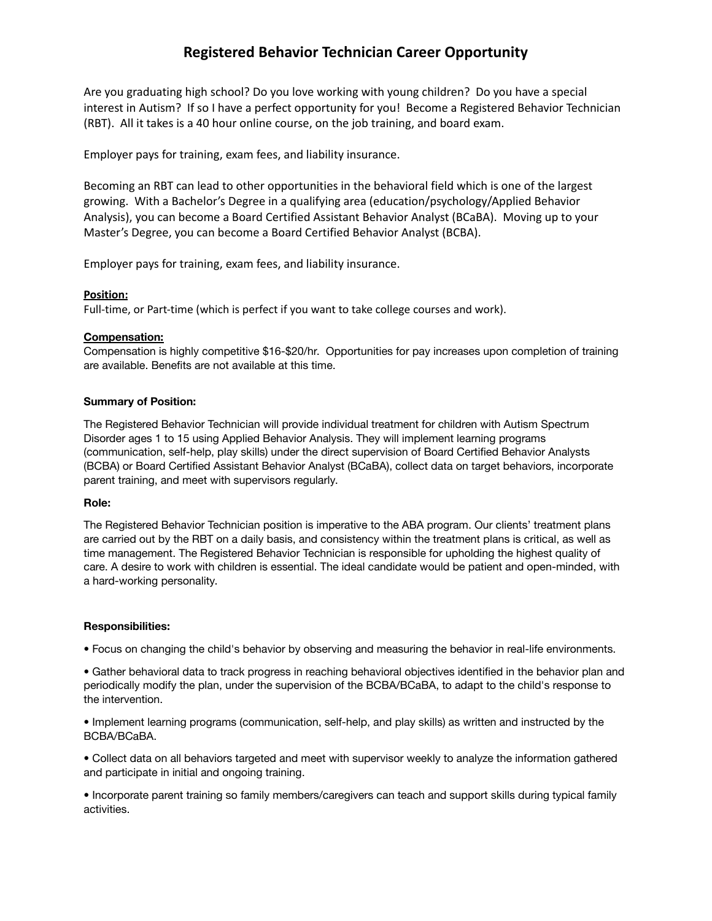# **Registered Behavior Technician Career Opportunity**

Are you graduating high school? Do you love working with young children? Do you have a special interest in Autism? If so I have a perfect opportunity for you! Become a Registered Behavior Technician (RBT). All it takes is a 40 hour online course, on the job training, and board exam.

Employer pays for training, exam fees, and liability insurance.

Becoming an RBT can lead to other opportunities in the behavioral field which is one of the largest growing. With a Bachelor's Degree in a qualifying area (education/psychology/Applied Behavior Analysis), you can become a Board Certified Assistant Behavior Analyst (BCaBA). Moving up to your Master's Degree, you can become a Board Certified Behavior Analyst (BCBA).

Employer pays for training, exam fees, and liability insurance.

# **Position:**

Full-time, or Part-time (which is perfect if you want to take college courses and work).

# **Compensation:**

Compensation is highly competitive \$16-\$20/hr. Opportunities for pay increases upon completion of training are available. Benefits are not available at this time.

### **Summary of Position:**

The Registered Behavior Technician will provide individual treatment for children with Autism Spectrum Disorder ages 1 to 15 using Applied Behavior Analysis. They will implement learning programs (communication, self-help, play skills) under the direct supervision of Board Certified Behavior Analysts (BCBA) or Board Certified Assistant Behavior Analyst (BCaBA), collect data on target behaviors, incorporate parent training, and meet with supervisors regularly.

### **Role:**

The Registered Behavior Technician position is imperative to the ABA program. Our clients' treatment plans are carried out by the RBT on a daily basis, and consistency within the treatment plans is critical, as well as time management. The Registered Behavior Technician is responsible for upholding the highest quality of care. A desire to work with children is essential. The ideal candidate would be patient and open-minded, with a hard-working personality.

### **Responsibilities:**

• Focus on changing the child's behavior by observing and measuring the behavior in real-life environments.

• Gather behavioral data to track progress in reaching behavioral objectives identified in the behavior plan and periodically modify the plan, under the supervision of the BCBA/BCaBA, to adapt to the child's response to the intervention.

• Implement learning programs (communication, self-help, and play skills) as written and instructed by the BCBA/BCaBA.

• Collect data on all behaviors targeted and meet with supervisor weekly to analyze the information gathered and participate in initial and ongoing training.

• Incorporate parent training so family members/caregivers can teach and support skills during typical family activities.